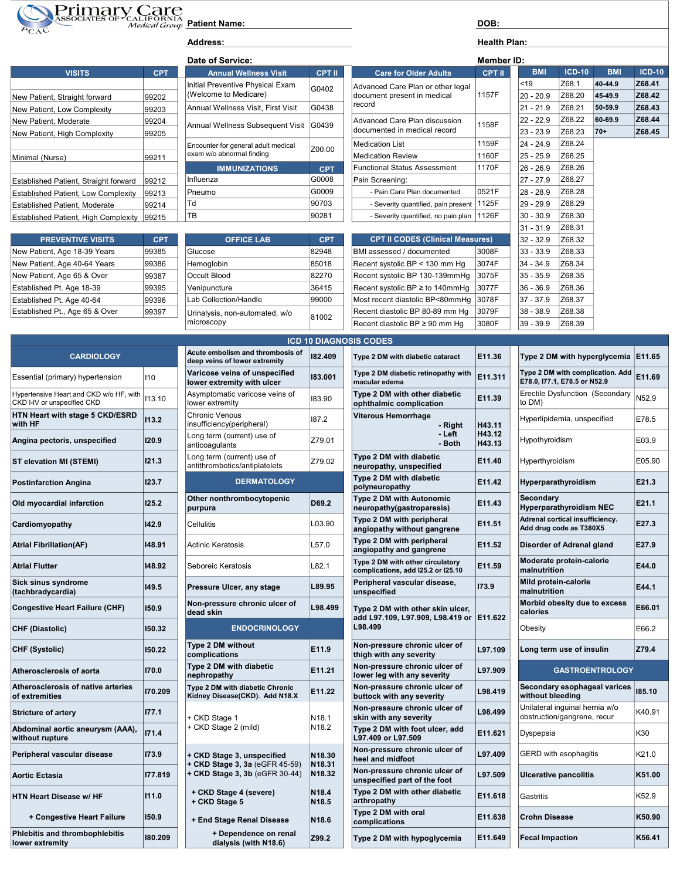

Address: Health Plan:

| <b>VISITS</b>                              | <b>CPT</b>                         | <b>Annual Wellness Visit</b>           | <b>CPT II</b>                                                 | <b>Care for Older Adults</b>        | <b>CPT II</b> | <b>BMI</b>  | $ICD-10$ | <b>BMI</b> | $ICD-1$ |
|--------------------------------------------|------------------------------------|----------------------------------------|---------------------------------------------------------------|-------------------------------------|---------------|-------------|----------|------------|---------|
|                                            |                                    | Initial Preventive Physical Exam       | G0402                                                         | Advanced Care Plan or other legal   |               | $ $ < 19    | Z68.1    | 40-44.9    | Z68.41  |
| New Patient, Straight forward              | 99202                              | (Welcome to Medicare)                  |                                                               | document present in medical         | 1157F         | 20 - 20.9   | Z68.20   | 45-49.9    | Z68.42  |
| New Patient, Low Complexity                | 99203                              | Annual Wellness Visit, First Visit     | G0438                                                         | record                              |               | 21 - 21.9   | Z68.21   | 50-59.9    | Z68.43  |
| New Patient, Moderate                      | 99204                              | Annual Wellness Subsequent Visit G0439 | Advanced Care Plan discussion<br>documented in medical record | 1158F                               | 22 - 22.9     | Z68.22      | 60-69.9  | Z68.44     |         |
| New Patient, High Complexity               | 99205                              |                                        |                                                               |                                     | 23 - 23.9     | Z68.23      | 70+      | Z68.45     |         |
|                                            |                                    | Encounter for general adult medical    | Z00.00                                                        | Medication List                     | 1159F         | $24 - 24.9$ | Z68.24   |            |         |
| Minimal (Nurse)                            | exam w/o abnormal finding<br>99211 |                                        | Medication Review                                             | 1160F                               | $25 - 25.9$   | Z68.25      |          |            |         |
|                                            |                                    | <b>IMMUNIZATIONS</b>                   | <b>CPT</b>                                                    | Functional Status Assessment        | 1170F         | 26 - 26.9   | Z68.26   |            |         |
| Established Patient, Straight forward      | 99212                              | Influenza                              | G0008                                                         | Pain Screening:                     |               | $27 - 27.9$ | Z68.27   |            |         |
| <b>Established Patient, Low Complexity</b> | 99213                              | Pneumo                                 | G0009                                                         | - Pain Care Plan documented         | 0521F         | 28 - 28.9   | Z68.28   |            |         |
| <b>Established Patient, Moderate</b>       | 99214                              | Td                                     | 90703                                                         | - Severity quantified, pain present | 1125F         | 29 - 29.9   | Z68.29   |            |         |
| Established Patient. High Complexity       | 99215                              | 'TB                                    | 90281                                                         | - Severity quantified, no pain plan | 1126F         | 30 - 30.9   | Z68.30   |            |         |

| <b>PREVENTIVE VISITS</b>       | CPT.  | <b>OFFICE LAB</b>              | <b>CPT</b> | <b>CPT II CODES (Clinical Measures)</b>                 |       | $ 32 - 32.9$ | Z68.32        |
|--------------------------------|-------|--------------------------------|------------|---------------------------------------------------------|-------|--------------|---------------|
| New Patient, Age 18-39 Years   | 99385 | Glucose                        | 82948      | BMI assessed / documented                               | 3008F | $ 33 - 33.9$ | Z68.33        |
| New Patient, Age 40-64 Years   | 99386 | Hemoglobin                     | 85018      | Recent systolic BP < 130 mm Hq                          | 3074F | $ 34 - 34.9$ | Z68.34        |
| New Patient, Age 65 & Over     | 99387 | Occult Blood                   | 82270      | Recent systolic BP 130-139mmHq                          | 3075F | $ 35 - 35.9$ | Z68.35        |
| Established Pt. Age 18-39      | 99395 | Venipuncture                   | 36415      | Recent systolic BP $\geq$ to 140mmHq                    | 3077F | $ 36 - 36.9$ | Z68.36        |
| Established Pt. Age 40-64      | 99396 | Lab Collection/Handle          | 99000      | Most recent diastolic BP<80mmHq 3078F                   |       | $ 37 - 37.9$ | Z68.37        |
| Established Pt., Age 65 & Over | 99397 | Urinalysis, non-automated, w/o | 81002      | Recent diastolic BP 80-89 mm Hq                         | 3079F | $ 38 - 38.9$ | Z68.38        |
|                                |       | microscopu                     |            | $D$ essat disetalis DD $\geq 0.0$ mass $H_{\text{max}}$ | 0000F | 20.20        | <b>700.00</b> |

| <b>CARDIOLOGY</b>                                                      |         | Acute embolism and thrombosis of<br>deep veins of lower extremity | 182.409                                | Type 2 DM with diabetic cataract                                       |  |
|------------------------------------------------------------------------|---------|-------------------------------------------------------------------|----------------------------------------|------------------------------------------------------------------------|--|
| Essential (primary) hypertension                                       | 110     | Varicose veins of unspecified<br>lower extremity with ulcer       | 183.001                                | Type 2 DM diabetic retinopathy wit<br>macular edema                    |  |
| Hypertensive Heart and CKD w/o HF, with<br>CKD I-IV or unspecified CKD | 113.10  | Asymptomatic varicose veins of<br>lower extremity                 | 183.90                                 | Type 2 DM with other diabetic<br>ophthalmic complication               |  |
| HTN Heart with stage 5 CKD/ESRD<br>with HF                             | 113.2   | <b>Chronic Venous</b><br>insufficiency(peripheral)                | 187.2                                  | <b>Viterous Hemorrhage</b><br>- Right                                  |  |
| Angina pectoris, unspecified                                           | 120.9   | Long term (current) use of<br>anticoagulants                      | Z79.01                                 | - Left<br>- Both                                                       |  |
| ST elevation MI (STEMI)                                                | 121.3   | Long term (current) use of<br>antithrombotics/antiplatelets       | Z79.02                                 | Type 2 DM with diabetic<br>neuropathy, unspecified                     |  |
| <b>Postinfarction Angina</b>                                           | 123.7   | <b>DERMATOLOGY</b>                                                |                                        | Type 2 DM with diabetic<br>polyneuropathy                              |  |
| Old myocardial infarction                                              | 125.2   | Other nonthrombocytopenic<br>purpura                              | D69.2                                  | Type 2 DM with Autonomic<br>neuropathy(gastroparesis)                  |  |
| Cardiomyopathy                                                         | 142.9   | Cellulitis                                                        | L03.90                                 | Type 2 DM with peripheral<br>angiopathy without gangrene               |  |
| <b>Atrial Fibrillation(AF)</b>                                         | 148.91  | Actinic Keratosis                                                 | L57.0                                  | Type 2 DM with peripheral<br>angiopathy and gangrene                   |  |
| <b>Atrial Flutter</b>                                                  | 148.92  | Seboreic Keratosis                                                | L82.1                                  | Type 2 DM with other circulatory<br>complications, add I25.2 or I25.10 |  |
| Sick sinus syndrome<br>(tachbradycardia)                               | 149.5   | Pressure Ulcer, any stage                                         | L89.95                                 | Peripheral vascular disease,<br>unspecified                            |  |
| <b>Congestive Heart Failure (CHF)</b>                                  | 150.9   | Non-pressure chronic ulcer of<br>dead skin                        | L98.499                                | Type 2 DM with other skin ulcer                                        |  |
| <b>CHF (Diastolic)</b>                                                 | 150.32  | <b>ENDOCRINOLOGY</b>                                              |                                        | add L97.109, L97.909, L98.419 o<br>L98.499                             |  |
| <b>CHF (Systolic)</b>                                                  | 150.22  | Type 2 DM without<br>complications                                | E11.9                                  | Non-pressure chronic ulcer of<br>thigh with any severity               |  |
| Atherosclerosis of aorta                                               | 170.0   | Type 2 DM with diabetic<br>nephropathy                            | E11.21                                 | Non-pressure chronic ulcer of<br>lower leg with any severity           |  |
| Atherosclerosis of native arteries<br>of extremities                   | 170.209 | Type 2 DM with diabetic Chronic<br>Kidney Disease(CKD). Add N18.X | E11.22                                 | Non-pressure chronic ulcer of<br>buttock with any severity             |  |
| <b>Stricture of artery</b>                                             | 177.1   | + CKD Stage 1                                                     | N <sub>18.1</sub>                      | Non-pressure chronic ulcer of<br>skin with any severity                |  |
| Abdominal aortic aneurysm (AAA),<br>without rupture                    | 171.4   | + CKD Stage 2 (mild)                                              | N <sub>18.2</sub>                      | Type 2 DM with foot ulcer, add<br>L97.409 or L97.509                   |  |
| Peripheral vascular disease                                            | 173.9   | + CKD Stage 3, unspecified                                        | N18.30<br>N18.31                       | Non-pressure chronic ulcer of<br>heel and midfoot                      |  |
| <b>Aortic Ectasia</b>                                                  | 177.819 | + CKD Stage 3, 3a (eGFR 45-59)<br>+ CKD Stage 3, 3b (eGFR 30-44)  | N18.32                                 | Non-pressure chronic ulcer of<br>unspecified part of the foot          |  |
| <b>HTN Heart Disease w/ HF</b>                                         | 111.0   | + CKD Stage 4 (severe)<br>+ CKD Stage 5                           | N <sub>18.4</sub><br>N <sub>18.5</sub> | Type 2 DM with other diabetic<br>arthropathy                           |  |
| + Congestive Heart Failure                                             | 150.9   | + End Stage Renal Disease                                         | N <sub>18.6</sub>                      | Type 2 DM with oral<br>complications                                   |  |
| Phlebitis and thrombophlebitis<br>lower extremity                      | 180.209 | + Dependence on renal<br>dialysis (with N18.6)                    | Z99.2                                  | Type 2 DM with hypoglycemia                                            |  |
|                                                                        |         |                                                                   |                                        |                                                                        |  |

| Date of Service:                                                 |               |
|------------------------------------------------------------------|---------------|
| <b>Annual Wellness Visit</b>                                     | <b>CPT II</b> |
| Initial Preventive Physical Exam<br>(Welcome to Medicare)        | G0402         |
| Annual Wellness Visit. First Visit                               | G0438         |
| Annual Wellness Subsequent Visit                                 | G0439         |
| Encounter for general adult medical<br>exam w/o abnormal finding | 700.00        |
| <b>IMMUNIZATIONS</b>                                             | <b>CPT</b>    |
| Influenza                                                        | G0008         |
| Pneumo                                                           | G0009         |
| ٦d                                                               | 90703         |
| тв                                                               | 90281         |
|                                                                  |               |

| <b>OFFICE LAB</b>                            | <b>CPT</b> |
|----------------------------------------------|------------|
| Glucose                                      | 82948      |
| Hemoglobin                                   | 85018      |
| Occult Blood                                 | 82270      |
| Venipuncture                                 | 36415      |
| Lab Collection/Handle                        | 99000      |
| Urinalysis, non-automated, w/o<br>microscopy | 81002      |

| ivew Fatient, Straight ionward                   | <b>AATAS</b> |                                        |            |                                         |       |             |        |         |        |
|--------------------------------------------------|--------------|----------------------------------------|------------|-----------------------------------------|-------|-------------|--------|---------|--------|
| New Patient, Low Complexity                      | 99203        | Annual Wellness Visit, First Visit     | G0438      | record                                  |       | $21 - 21.9$ | Z68.21 | 50-59.9 | Z68.43 |
| New Patient, Moderate                            | 99204        | Annual Wellness Subsequent Visit G0439 |            | Advanced Care Plan discussion           | 1158F | $22 - 22.9$ | Z68.22 | 60-69.9 | Z68.44 |
| New Patient, High Complexity                     | 99205        |                                        |            | documented in medical record            |       | $23 - 23.9$ | Z68.23 | 70+     | Z68.45 |
|                                                  |              | Encounter for general adult medical    | Z00.00     | <b>Medication List</b>                  | 1159F | $24 - 24.9$ | Z68.24 |         |        |
| Minimal (Nurse)                                  | 99211        | exam w/o abnormal finding              |            | <b>Medication Review</b>                | 1160F | $25 - 25.9$ | Z68.25 |         |        |
|                                                  |              | <b>IMMUNIZATIONS</b>                   | <b>CPT</b> | <b>Functional Status Assessment</b>     | 1170F | $26 - 26.9$ | Z68.26 |         |        |
| Established Patient, Straight forward            | 99212        | Influenza                              | G0008      | Pain Screening:                         |       | $27 - 27.9$ | Z68.27 |         |        |
| <b>Established Patient, Low Complexity</b>       | 99213        | Pneumo                                 | G0009      | - Pain Care Plan documented             | 0521F | $28 - 28.9$ | Z68.28 |         |        |
| <b>Established Patient, Moderate</b>             | 99214        | Td                                     | 90703      | - Severity quantified, pain present     | 1125F | $29 - 29.9$ | Z68.29 |         |        |
| Established Patient, High Complexity             | 99215        | TB                                     | 90281      | - Severity quantified, no pain plan     | 1126F | $30 - 30.9$ | Z68.30 |         |        |
|                                                  |              |                                        |            |                                         |       | $31 - 31.9$ | Z68.31 |         |        |
| <b>PREVENTIVE VISITS</b>                         | <b>CPT</b>   | <b>OFFICE LAB</b>                      | <b>CPT</b> | <b>CPT II CODES (Clinical Measures)</b> |       | $32 - 32.9$ | Z68.32 |         |        |
| New Patient, Age 18-39 Years                     | 99385        | Glucose                                | 82948      | BMI assessed / documented               | 3008F | $33 - 33.9$ | Z68.33 |         |        |
| New Patient, Age 40-64 Years                     | 99386        | Hemoglobin                             | 85018      | Recent systolic BP < 130 mm Hg          | 3074F | $34 - 34.9$ | Z68.34 |         |        |
| New Patient, Age 65 & Over                       | 99387        | Occult Blood                           | 82270      | Recent systolic BP 130-139mmHq          | 3075F | $35 - 35.9$ | Z68.35 |         |        |
| Established Pt. Age 18-39                        | 99395        | Venipuncture                           | 36415      | Recent systolic BP $\geq$ to 140mmHq    | 3077F | $36 - 36.9$ | Z68.36 |         |        |
| Established Pt. Age 40-64                        | 99396        | Lab Collection/Handle                  | 99000      | Most recent diastolic BP<80mmHq         | 3078F | 37 - 37.9   | Z68.37 |         |        |
| $\Gamma$ atabliahad $\Gamma$ t Asa CE 9 $\Omega$ | 00007        |                                        |            | Desant disatelia DD 00.00 mans Lla      | 0070F | 20. 20. Q   | 700.00 |         |        |

|                                   | <b>Health Plan:</b> |             |          |            |               |
|-----------------------------------|---------------------|-------------|----------|------------|---------------|
|                                   | Member ID:          |             |          |            |               |
| <b>Care for Older Adults</b>      | <b>CPT II</b>       | <b>BMI</b>  | $ICD-10$ | <b>BMI</b> | <b>ICD-10</b> |
| nced Care Plan or other legal     |                     | < 19        | Z68.1    | 40-44.9    | Z68.41        |
| nent present in medical           | 1157F               | $20 - 20.9$ | Z68.20   | 45-49.9    | Z68.42        |
|                                   |                     | $21 - 21.9$ | Z68.21   | 50-59.9    | Z68.43        |
| iced Care Plan discussion         | 1158F               | $22 - 22.9$ | Z68.22   | 60-69.9    | Z68.44        |
| nented in medical record          |                     | $23 - 23.9$ | Z68.23   | $70+$      | Z68.45        |
| ation List                        | 1159F               | $24 - 24.9$ | Z68.24   |            |               |
| ation Review                      | 1160F               | $25 - 25.9$ | Z68.25   |            |               |
| ional Status Assessment           | 1170F               | $26 - 26.9$ | Z68.26   |            |               |
| Screening:                        |                     | $27 - 27.9$ | Z68.27   |            |               |
| Pain Care Plan documented         | 0521F               | $28 - 28.9$ | Z68.28   |            |               |
| Severity quantified, pain present | 1125F               | $29 - 29.9$ | Z68.29   |            |               |
| Severity quantified, no pain plan | 1126F               | $30 - 30.9$ | Z68.30   |            |               |
|                                   |                     | $31 - 31.9$ | Z68.31   |            |               |

Rec. 39.9 268.39

|                                                                        |         | microscopy                                                        |                   | Recent diastolic BP ≥ 90 mm Hg                                               | 3080F            | 39 - 39.9<br>Z68.39                                              |        |
|------------------------------------------------------------------------|---------|-------------------------------------------------------------------|-------------------|------------------------------------------------------------------------------|------------------|------------------------------------------------------------------|--------|
|                                                                        |         |                                                                   |                   | <b>ICD 10 DIAGNOSIS CODES</b>                                                |                  |                                                                  |        |
| <b>CARDIOLOGY</b>                                                      |         | Acute embolism and thrombosis of<br>deep veins of lower extremity | 182.409           | Type 2 DM with diabetic cataract                                             | E11.36           | Type 2 DM with hyperglycemia                                     | E11.65 |
| Essential (primary) hypertension                                       | 110     | Varicose veins of unspecified<br>lower extremity with ulcer       | 183.001           | Type 2 DM diabetic retinopathy with<br>macular edema                         | E11.311          | Type 2 DM with complication. Add<br>E78.0, I77.1, E78.5 or N52.9 | E11.69 |
| Hypertensive Heart and CKD w/o HF, with<br>CKD I-IV or unspecified CKD | 113.10  | Asymptomatic varicose veins of<br>lower extremity                 | 183.90            | Type 2 DM with other diabetic<br>ophthalmic complication                     | E11.39           | Erectile Dysfunction (Secondary<br>to DM)                        | N52.9  |
| HTN Heart with stage 5 CKD/ESRD<br>with HF                             | 113.2   | <b>Chronic Venous</b><br>insufficiency(peripheral)                | 187.2             | <b>Viterous Hemorrhage</b><br>- Right                                        | H43.11           | Hyperlipidemia, unspecified                                      | E78.5  |
| Angina pectoris, unspecified                                           | 120.9   | Long term (current) use of<br>anticoagulants                      | Z79.01            | - Left<br>- Both                                                             | H43.12<br>H43.13 | Hypothyroidism                                                   | E03.9  |
| ST elevation MI (STEMI)                                                | 121.3   | Long term (current) use of<br>antithrombotics/antiplatelets       | Z79.02            | Type 2 DM with diabetic<br>neuropathy, unspecified                           | E11.40           | Hyperthyroidism                                                  | E05.90 |
| <b>Postinfarction Angina</b>                                           | 123.7   | <b>DERMATOLOGY</b>                                                |                   | Type 2 DM with diabetic<br>polyneuropathy                                    | E11.42           | Hyperparathyroidism                                              | E21.3  |
| Old myocardial infarction                                              | 125.2   | Other nonthrombocytopenic<br>purpura                              | D69.2             | <b>Type 2 DM with Autonomic</b><br>neuropathy(gastroparesis)                 | E11.43           | Secondary<br><b>Hyperparathyroidism NEC</b>                      | E21.1  |
| Cardiomyopathy                                                         | 142.9   | Cellulitis                                                        | L03.90            | Type 2 DM with peripheral<br>angiopathy without gangrene                     | E11.51           | Adrenal cortical insufficiency.<br>Add drug code as T380X5       | E27.3  |
| Atrial Fibrillation(AF)                                                | 148.91  | Actinic Keratosis                                                 | L57.0             | Type 2 DM with peripheral<br>angiopathy and gangrene                         | E11.52           | Disorder of Adrenal gland                                        | E27.9  |
| Atrial Flutter                                                         | 148.92  | Seboreic Keratosis                                                | L82.1             | Type 2 DM with other circulatory<br>complications, add I25.2 or I25.10       | E11.59           | Moderate protein-calorie<br>malnutrition                         | E44.0  |
| Sick sinus syndrome<br>(tachbradycardia)                               | 149.5   | Pressure Ulcer, any stage                                         | L89.95            | Peripheral vascular disease,<br>unspecified                                  | 173.9            | Mild protein-calorie<br>malnutrition                             | E44.1  |
| <b>Congestive Heart Failure (CHF)</b>                                  | 150.9   | Non-pressure chronic ulcer of<br>dead skin                        | L98.499           | Type 2 DM with other skin ulcer,<br>add L97.109, L97.909, L98.419 or E11.622 |                  | Morbid obesity due to excess<br>calories                         | E66.01 |
| <b>CHF (Diastolic)</b>                                                 | 150.32  | <b>ENDOCRINOLOGY</b>                                              |                   | L98.499                                                                      |                  | Obesity                                                          | E66.2  |
| CHF (Systolic)                                                         | 150.22  | Type 2 DM without<br>complications                                | E11.9             | Non-pressure chronic ulcer of<br>thigh with any severity                     | L97.109          | Long term use of insulin                                         | Z79.4  |
| Atherosclerosis of aorta                                               | 170.0   | Type 2 DM with diabetic<br>nephropathy                            | E11.21            | Non-pressure chronic ulcer of<br>lower leg with any severity                 | L97.909          | <b>GASTROENTROLOGY</b>                                           |        |
| Atherosclerosis of native arteries<br>of extremities                   | 170.209 | Type 2 DM with diabetic Chronic<br>Kidney Disease(CKD). Add N18.X | E11.22            | Non-pressure chronic ulcer of<br>buttock with any severity                   | L98.419          | Secondary esophageal varices<br>without bleeding                 | 185.10 |
| <b>Stricture of artery</b>                                             | 177.1   | + CKD Stage 1                                                     | N <sub>18.1</sub> | Non-pressure chronic ulcer of<br>skin with any severity                      | L98.499          | Unilateral inquinal hernia w/o<br>obstruction/gangrene, recur    | K40.91 |
| Abdominal aortic aneurysm (AAA),<br>without rupture                    | 171.4   | + CKD Stage 2 (mild)                                              | N <sub>18.2</sub> | Type 2 DM with foot ulcer, add<br>L97.409 or L97.509                         | E11.621          | Dyspepsia                                                        | K30    |
| Peripheral vascular disease                                            | 173.9   | + CKD Stage 3, unspecified<br>+ CKD Stage 3, 3a (eGFR 45-59)      | N18.30<br>N18.31  | Non-pressure chronic ulcer of<br>heel and midfoot                            | L97.409          | <b>GERD with esophagitis</b>                                     | K21.0  |
| Aortic Ectasia                                                         | 177.819 | + CKD Stage 3, 3b (eGFR 30-44)                                    | N18.32            | Non-pressure chronic ulcer of<br>unspecified part of the foot                | L97.509          | Ulcerative pancolitis                                            | K51.00 |
| HTN Heart Disease w/ HF                                                | 111.0   | + CKD Stage 4 (severe)<br>+ CKD Stage 5                           | N18.4<br>N18.5    | Type 2 DM with other diabetic<br>arthropathy                                 | E11.618          | Gastritis                                                        | K52.9  |
| + Congestive Heart Failure                                             | 150.9   | + End Stage Renal Disease                                         | N18.6             | Type 2 DM with oral<br>complications                                         | E11.638          | Crohn Disease                                                    | K50.90 |
| Phlebitis and thrombophlebitis                                         | 180.209 | + Dependence on renal                                             | Z99.2             | Type 2 DM with hypoglycemia                                                  | E11.649          | <b>Fecal Impaction</b>                                           | K56.41 |

| Type 2 DM with hyperglycemia                                     | E11.65            |
|------------------------------------------------------------------|-------------------|
| Type 2 DM with complication. Add<br>E78.0, I77.1, E78.5 or N52.9 | E11.69            |
| Erectile Dysfunction (Secondary<br>to DM)                        | N <sub>52.9</sub> |
| Hyperlipidemia, unspecified                                      | E78.5             |
| Hypothyroidism                                                   | E03.9             |
| Hyperthyroidism                                                  | E05.90            |
| Hyperparathyroidism                                              | E21.3             |
| Secondary<br><b>Hyperparathyroidism NEC</b>                      | E21.1             |
| Adrenal cortical insufficiency.<br>Add drug code as T380X5       | E27.3             |
| Disorder of Adrenal gland                                        | E27.9             |
| Moderate protein-calorie<br>malnutrition                         | E44.0             |
| Mild protein-calorie<br>malnutrition                             | E44.1             |
| Morbid obesity due to excess<br>calories                         | E66.01            |
| Obesity                                                          | F66 2             |
| Long term use of insulin                                         | Z79.4             |
| <b>GASTROENTROLOGY</b>                                           |                   |
| Secondary esophageal varices<br>without bleeding                 | 185.10            |
| Unilateral inquinal hernia w/o<br>obstruction/gangrene, recur    | K40.91            |
|                                                                  |                   |